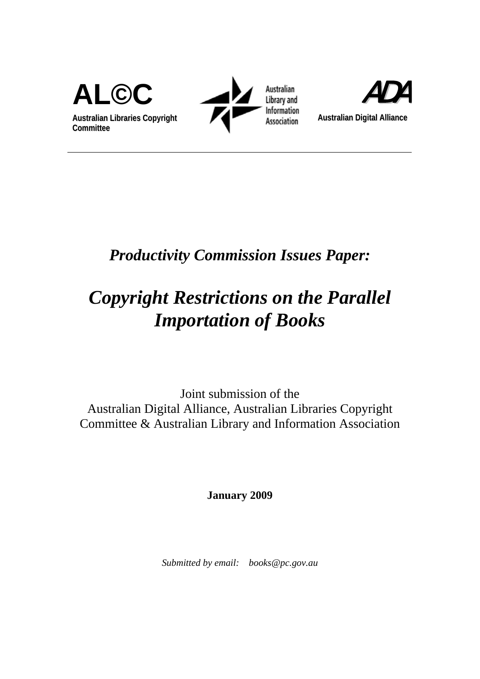





# *Productivity Commission Issues Paper:*

# *Copyright Restrictions on the Parallel Importation of Books*

Joint submission of the Australian Digital Alliance, Australian Libraries Copyright Committee & Australian Library and Information Association

**January 2009** 

*Submitted by email: books@pc.gov.au*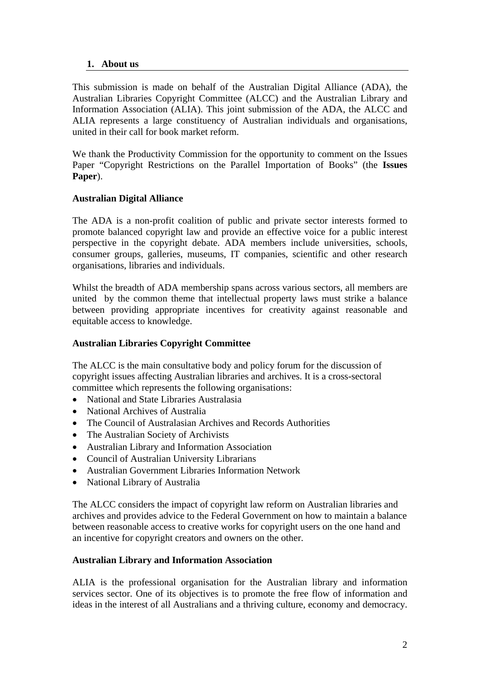### **1. About us**

This submission is made on behalf of the Australian Digital Alliance (ADA), the Australian Libraries Copyright Committee (ALCC) and the Australian Library and Information Association (ALIA). This joint submission of the ADA, the ALCC and ALIA represents a large constituency of Australian individuals and organisations, united in their call for book market reform.

We thank the Productivity Commission for the opportunity to comment on the Issues Paper "Copyright Restrictions on the Parallel Importation of Books" (the **Issues Paper**).

# **Australian Digital Alliance**

The ADA is a non-profit coalition of public and private sector interests formed to promote balanced copyright law and provide an effective voice for a public interest perspective in the copyright debate. ADA members include universities, schools, consumer groups, galleries, museums, IT companies, scientific and other research organisations, libraries and individuals.

Whilst the breadth of ADA membership spans across various sectors, all members are united by the common theme that intellectual property laws must strike a balance between providing appropriate incentives for creativity against reasonable and equitable access to knowledge.

# **Australian Libraries Copyright Committee**

The ALCC is the main consultative body and policy forum for the discussion of copyright issues affecting Australian libraries and archives. It is a cross-sectoral committee which represents the following organisations:

- National and State Libraries Australasia
- National Archives of Australia
- The Council of Australasian Archives and Records Authorities
- The Australian Society of Archivists
- Australian Library and Information Association
- Council of Australian University Librarians
- Australian Government Libraries Information Network
- National Library of Australia

The ALCC considers the impact of copyright law reform on Australian libraries and archives and provides advice to the Federal Government on how to maintain a balance between reasonable access to creative works for copyright users on the one hand and an incentive for copyright creators and owners on the other.

#### **Australian Library and Information Association**

ALIA is the professional organisation for the Australian library and information services sector. One of its objectives is to promote the free flow of information and ideas in the interest of all Australians and a thriving culture, economy and democracy.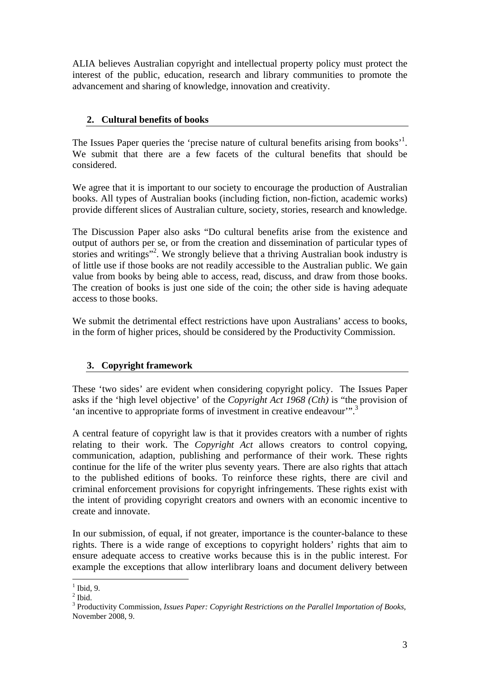ALIA believes Australian copyright and intellectual property policy must protect the interest of the public, education, research and library communities to promote the advancement and sharing of knowledge, innovation and creativity.

# **2. Cultural benefits of books**

The Issues Paper queries the 'precise nature of cultural benefits arising from books'<sup>1</sup>. We submit that there are a few facets of the cultural benefits that should be considered.

We agree that it is important to our society to encourage the production of Australian books. All types of Australian books (including fiction, non-fiction, academic works) provide different slices of Australian culture, society, stories, research and knowledge.

The Discussion Paper also asks "Do cultural benefits arise from the existence and output of authors per se, or from the creation and dissemination of particular types of stories and writings"<sup>2</sup>. We strongly believe that a thriving Australian book industry is of little use if those books are not readily accessible to the Australian public. We gain value from books by being able to access, read, discuss, and draw from those books. The creation of books is just one side of the coin; the other side is having adequate access to those books.

We submit the detrimental effect restrictions have upon Australians' access to books, in the form of higher prices, should be considered by the Productivity Commission.

# **3. Copyright framework**

These 'two sides' are evident when considering copyright policy. The Issues Paper asks if the 'high level objective' of the *Copyright Act 1968 (Cth)* is "the provision of 'an incentive to appropriate forms of investment in creative endeavour'".<sup>3</sup>

A central feature of copyright law is that it provides creators with a number of rights relating to their work. The *Copyright Act* allows creators to control copying, communication, adaption, publishing and performance of their work. These rights continue for the life of the writer plus seventy years. There are also rights that attach to the published editions of books. To reinforce these rights, there are civil and criminal enforcement provisions for copyright infringements. These rights exist with the intent of providing copyright creators and owners with an economic incentive to create and innovate.

In our submission, of equal, if not greater, importance is the counter-balance to these rights. There is a wide range of exceptions to copyright holders' rights that aim to ensure adequate access to creative works because this is in the public interest. For example the exceptions that allow interlibrary loans and document delivery between

 $\frac{1}{1}$  Ibid, 9.

 $<sup>2</sup>$  Ibid.</sup>

<sup>3</sup> Productivity Commission, *Issues Paper: Copyright Restrictions on the Parallel Importation of Books*, November 2008, 9.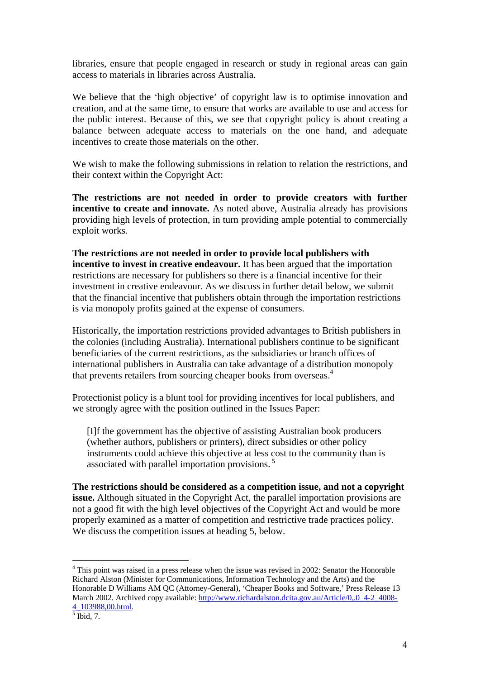libraries, ensure that people engaged in research or study in regional areas can gain access to materials in libraries across Australia.

We believe that the 'high objective' of copyright law is to optimise innovation and creation, and at the same time, to ensure that works are available to use and access for the public interest. Because of this, we see that copyright policy is about creating a balance between adequate access to materials on the one hand, and adequate incentives to create those materials on the other.

We wish to make the following submissions in relation to relation the restrictions, and their context within the Copyright Act:

**The restrictions are not needed in order to provide creators with further incentive to create and innovate.** As noted above, Australia already has provisions providing high levels of protection, in turn providing ample potential to commercially exploit works.

**The restrictions are not needed in order to provide local publishers with incentive to invest in creative endeavour.** It has been argued that the importation restrictions are necessary for publishers so there is a financial incentive for their investment in creative endeavour. As we discuss in further detail below, we submit that the financial incentive that publishers obtain through the importation restrictions is via monopoly profits gained at the expense of consumers.

Historically, the importation restrictions provided advantages to British publishers in the colonies (including Australia). International publishers continue to be significant beneficiaries of the current restrictions, as the subsidiaries or branch offices of international publishers in Australia can take advantage of a distribution monopoly that prevents retailers from sourcing cheaper books from overseas.<sup>4</sup>

Protectionist policy is a blunt tool for providing incentives for local publishers, and we strongly agree with the position outlined in the Issues Paper:

[I]f the government has the objective of assisting Australian book producers (whether authors, publishers or printers), direct subsidies or other policy instruments could achieve this objective at less cost to the community than is associated with parallel importation provisions.<sup>5</sup>

**The restrictions should be considered as a competition issue, and not a copyright issue.** Although situated in the Copyright Act, the parallel importation provisions are not a good fit with the high level objectives of the Copyright Act and would be more properly examined as a matter of competition and restrictive trade practices policy. We discuss the competition issues at heading 5, below.

 $\overline{a}$ 

<sup>&</sup>lt;sup>4</sup> This point was raised in a press release when the issue was revised in 2002: Senator the Honorable Richard Alston (Minister for Communications, Information Technology and the Arts) and the Honorable D Williams AM QC (Attorney-General), 'Cheaper Books and Software,' Press Release 13 March 2002. Archived copy available: http://www.richardalston.dcita.gov.au/Article/0,,0\_4-2\_4008- 4\_103988,00.html. 5

 $\sqrt[5]{\text{Ibid}, 7}$ .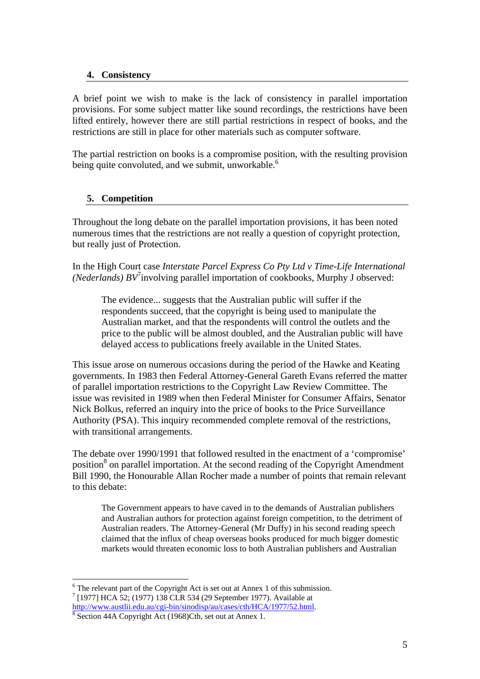#### **4. Consistency**

A brief point we wish to make is the lack of consistency in parallel importation provisions. For some subject matter like sound recordings, the restrictions have been lifted entirely, however there are still partial restrictions in respect of books, and the restrictions are still in place for other materials such as computer software.

The partial restriction on books is a compromise position, with the resulting provision being quite convoluted, and we submit, unworkable.<sup>6</sup>

# **5. Competition**

Throughout the long debate on the parallel importation provisions, it has been noted numerous times that the restrictions are not really a question of copyright protection, but really just of Protection.

In the High Court case *Interstate Parcel Express Co Pty Ltd v Time-Life International (Nederlands) BV*<sup>7</sup> involving parallel importation of cookbooks, Murphy J observed:

The evidence... suggests that the Australian public will suffer if the respondents succeed, that the copyright is being used to manipulate the Australian market, and that the respondents will control the outlets and the price to the public will be almost doubled, and the Australian public will have delayed access to publications freely available in the United States.

This issue arose on numerous occasions during the period of the Hawke and Keating governments. In 1983 then Federal Attorney-General Gareth Evans referred the matter of parallel importation restrictions to the Copyright Law Review Committee. The issue was revisited in 1989 when then Federal Minister for Consumer Affairs, Senator Nick Bolkus, referred an inquiry into the price of books to the Price Surveillance Authority (PSA). This inquiry recommended complete removal of the restrictions, with transitional arrangements.

The debate over 1990/1991 that followed resulted in the enactment of a 'compromise' position<sup>8</sup> on parallel importation. At the second reading of the Copyright Amendment Bill 1990, the Honourable Allan Rocher made a number of points that remain relevant to this debate:

The Government appears to have caved in to the demands of Australian publishers and Australian authors for protection against foreign competition, to the detriment of Australian readers. The Attorney-General (Mr Duffy) in his second reading speech claimed that the influx of cheap overseas books produced for much bigger domestic markets would threaten economic loss to both Australian publishers and Australian

 $\overline{a}$ 

 $6$  The relevant part of the Copyright Act is set out at Annex 1 of this submission. <sup>7</sup> [1977] HCA 52; (1977) 138 CLR 534 (29 September 1977). Available at

http://www.austlii.edu.au/cgi-bin/sinodisp/au/cases/cth/HCA/1977/52.html. 8

 $\frac{8}{8}$  Section 44A Copyright Act (1968)Cth, set out at Annex 1.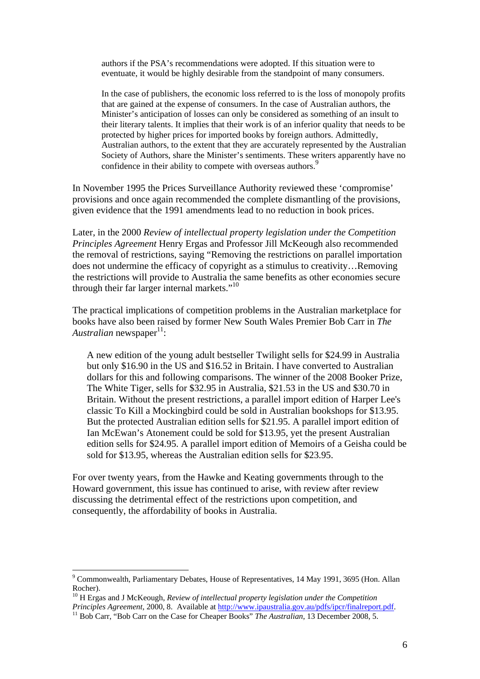authors if the PSA's recommendations were adopted. If this situation were to eventuate, it would be highly desirable from the standpoint of many consumers.

In the case of publishers, the economic loss referred to is the loss of monopoly profits that are gained at the expense of consumers. In the case of Australian authors, the Minister's anticipation of losses can only be considered as something of an insult to their literary talents. It implies that their work is of an inferior quality that needs to be protected by higher prices for imported books by foreign authors. Admittedly, Australian authors, to the extent that they are accurately represented by the Australian Society of Authors, share the Minister's sentiments. These writers apparently have no confidence in their ability to compete with overseas authors.<sup>9</sup>

In November 1995 the Prices Surveillance Authority reviewed these 'compromise' provisions and once again recommended the complete dismantling of the provisions, given evidence that the 1991 amendments lead to no reduction in book prices.

Later, in the 2000 *Review of intellectual property legislation under the Competition Principles Agreement* Henry Ergas and Professor Jill McKeough also recommended the removal of restrictions, saying "Removing the restrictions on parallel importation does not undermine the efficacy of copyright as a stimulus to creativity…Removing the restrictions will provide to Australia the same benefits as other economies secure through their far larger internal markets."<sup>10</sup>

The practical implications of competition problems in the Australian marketplace for books have also been raised by former New South Wales Premier Bob Carr in *The*  Australian newspaper<sup>11</sup>:

A new edition of the young adult bestseller Twilight sells for \$24.99 in Australia but only \$16.90 in the US and \$16.52 in Britain. I have converted to Australian dollars for this and following comparisons. The winner of the 2008 Booker Prize, The White Tiger, sells for \$32.95 in Australia, \$21.53 in the US and \$30.70 in Britain. Without the present restrictions, a parallel import edition of Harper Lee's classic To Kill a Mockingbird could be sold in Australian bookshops for \$13.95. But the protected Australian edition sells for \$21.95. A parallel import edition of Ian McEwan's Atonement could be sold for \$13.95, yet the present Australian edition sells for \$24.95. A parallel import edition of Memoirs of a Geisha could be sold for \$13.95, whereas the Australian edition sells for \$23.95.

For over twenty years, from the Hawke and Keating governments through to the Howard government, this issue has continued to arise, with review after review discussing the detrimental effect of the restrictions upon competition, and consequently, the affordability of books in Australia.

 $\overline{a}$ 

<sup>&</sup>lt;sup>9</sup> Commonwealth, Parliamentary Debates, House of Representatives, 14 May 1991, 3695 (Hon. Allan Rocher).

<sup>&</sup>lt;sup>10</sup> H Ergas and J McKeough, *Review of intellectual property legislation under the Competition*<br>*Principles Agreement*, 2000, 8. Available at http://www.ipaustralia.gov.au/pdfs/jpcr/finalreport.pdf.

<sup>&</sup>lt;sup>11</sup> Bob Carr, "Bob Carr on the Case for Cheaper Books" *The Australian*, 13 December 2008, 5.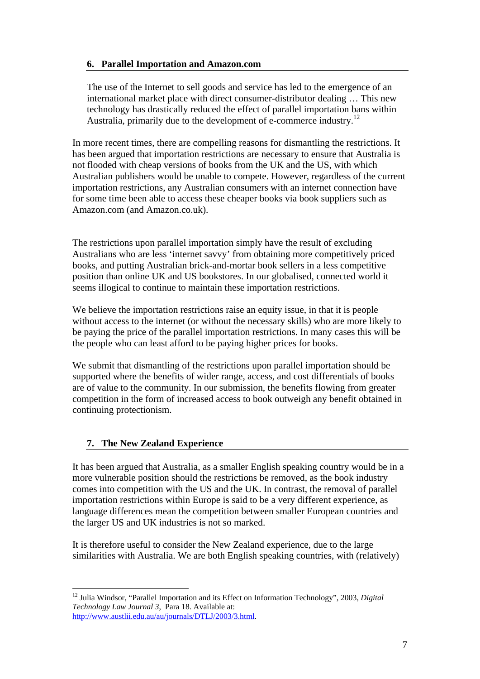# **6. Parallel Importation and Amazon.com**

The use of the Internet to sell goods and service has led to the emergence of an international market place with direct consumer-distributor dealing … This new technology has drastically reduced the effect of parallel importation bans within Australia, primarily due to the development of e-commerce industry.12

In more recent times, there are compelling reasons for dismantling the restrictions. It has been argued that importation restrictions are necessary to ensure that Australia is not flooded with cheap versions of books from the UK and the US, with which Australian publishers would be unable to compete. However, regardless of the current importation restrictions, any Australian consumers with an internet connection have for some time been able to access these cheaper books via book suppliers such as Amazon.com (and Amazon.co.uk).

The restrictions upon parallel importation simply have the result of excluding Australians who are less 'internet savvy' from obtaining more competitively priced books, and putting Australian brick-and-mortar book sellers in a less competitive position than online UK and US bookstores. In our globalised, connected world it seems illogical to continue to maintain these importation restrictions.

We believe the importation restrictions raise an equity issue, in that it is people without access to the internet (or without the necessary skills) who are more likely to be paying the price of the parallel importation restrictions. In many cases this will be the people who can least afford to be paying higher prices for books.

We submit that dismantling of the restrictions upon parallel importation should be supported where the benefits of wider range, access, and cost differentials of books are of value to the community. In our submission, the benefits flowing from greater competition in the form of increased access to book outweigh any benefit obtained in continuing protectionism.

# **7. The New Zealand Experience**

It has been argued that Australia, as a smaller English speaking country would be in a more vulnerable position should the restrictions be removed, as the book industry comes into competition with the US and the UK. In contrast, the removal of parallel importation restrictions within Europe is said to be a very different experience, as language differences mean the competition between smaller European countries and the larger US and UK industries is not so marked.

It is therefore useful to consider the New Zealand experience, due to the large similarities with Australia. We are both English speaking countries, with (relatively)

 $\overline{a}$ 12 Julia Windsor, "Parallel Importation and its Effect on Information Technology", 2003, *Digital Technology Law Journal 3*, Para 18. Available at: http://www.austlii.edu.au/au/journals/DTLJ/2003/3.html.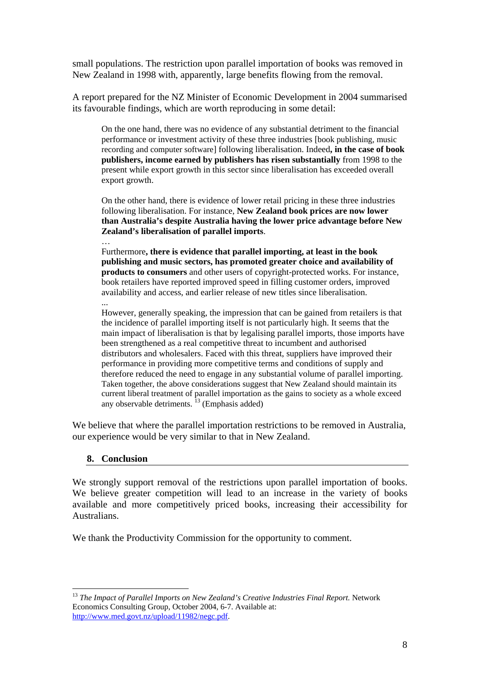small populations. The restriction upon parallel importation of books was removed in New Zealand in 1998 with, apparently, large benefits flowing from the removal.

A report prepared for the NZ Minister of Economic Development in 2004 summarised its favourable findings, which are worth reproducing in some detail:

On the one hand, there was no evidence of any substantial detriment to the financial performance or investment activity of these three industries [book publishing, music recording and computer software] following liberalisation. Indeed**, in the case of book publishers, income earned by publishers has risen substantially** from 1998 to the present while export growth in this sector since liberalisation has exceeded overall export growth.

On the other hand, there is evidence of lower retail pricing in these three industries following liberalisation. For instance, **New Zealand book prices are now lower than Australia's despite Australia having the lower price advantage before New Zealand's liberalisation of parallel imports**.

… Furthermore**, there is evidence that parallel importing, at least in the book publishing and music sectors, has promoted greater choice and availability of products to consumers** and other users of copyright-protected works. For instance, book retailers have reported improved speed in filling customer orders, improved availability and access, and earlier release of new titles since liberalisation.

... However, generally speaking, the impression that can be gained from retailers is that the incidence of parallel importing itself is not particularly high. It seems that the main impact of liberalisation is that by legalising parallel imports, those imports have been strengthened as a real competitive threat to incumbent and authorised distributors and wholesalers. Faced with this threat, suppliers have improved their performance in providing more competitive terms and conditions of supply and therefore reduced the need to engage in any substantial volume of parallel importing. Taken together, the above considerations suggest that New Zealand should maintain its current liberal treatment of parallel importation as the gains to society as a whole exceed any observable detriments.  $^{13}$  (Emphasis added)

We believe that where the parallel importation restrictions to be removed in Australia, our experience would be very similar to that in New Zealand.

#### **8. Conclusion**

 $\overline{a}$ 

We strongly support removal of the restrictions upon parallel importation of books. We believe greater competition will lead to an increase in the variety of books available and more competitively priced books, increasing their accessibility for Australians.

We thank the Productivity Commission for the opportunity to comment.

<sup>13</sup> *The Impact of Parallel Imports on New Zealand's Creative Industries Final Report.* Network Economics Consulting Group, October 2004, 6-7. Available at: http://www.med.govt.nz/upload/11982/negc.pdf.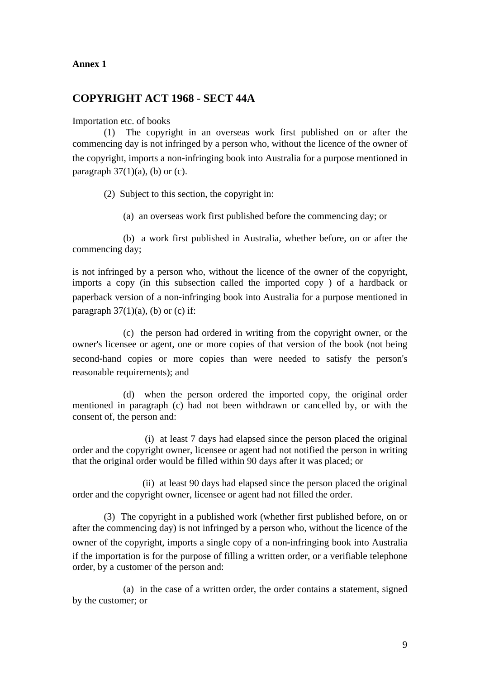# **COPYRIGHT ACT 1968 - SECT 44A**

Importation etc. of books

 (1) The copyright in an overseas work first published on or after the commencing day is not infringed by a person who, without the licence of the owner of the copyright, imports a non‑infringing book into Australia for a purpose mentioned in paragraph  $37(1)(a)$ , (b) or (c).

(2) Subject to this section, the copyright in:

(a) an overseas work first published before the commencing day; or

 (b) a work first published in Australia, whether before, on or after the commencing day;

is not infringed by a person who, without the licence of the owner of the copyright, imports a copy (in this subsection called the imported copy ) of a hardback or paperback version of a non‑infringing book into Australia for a purpose mentioned in paragraph  $37(1)(a)$ , (b) or (c) if:

 (c) the person had ordered in writing from the copyright owner, or the owner's licensee or agent, one or more copies of that version of the book (not being second-hand copies or more copies than were needed to satisfy the person's reasonable requirements); and

 (d) when the person ordered the imported copy, the original order mentioned in paragraph (c) had not been withdrawn or cancelled by, or with the consent of, the person and:

 (i) at least 7 days had elapsed since the person placed the original order and the copyright owner, licensee or agent had not notified the person in writing that the original order would be filled within 90 days after it was placed; or

 (ii) at least 90 days had elapsed since the person placed the original order and the copyright owner, licensee or agent had not filled the order.

 (3) The copyright in a published work (whether first published before, on or after the commencing day) is not infringed by a person who, without the licence of the owner of the copyright, imports a single copy of a non‑infringing book into Australia if the importation is for the purpose of filling a written order, or a verifiable telephone order, by a customer of the person and:

 (a) in the case of a written order, the order contains a statement, signed by the customer; or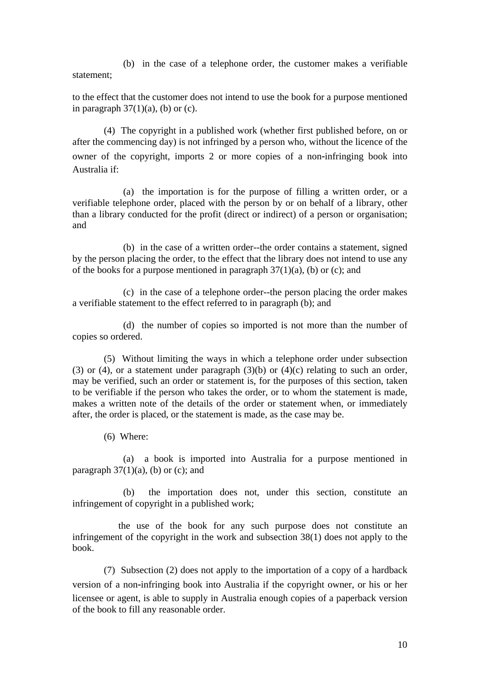(b) in the case of a telephone order, the customer makes a verifiable statement;

to the effect that the customer does not intend to use the book for a purpose mentioned in paragraph  $37(1)(a)$ , (b) or (c).

 (4) The copyright in a published work (whether first published before, on or after the commencing day) is not infringed by a person who, without the licence of the owner of the copyright, imports 2 or more copies of a non-infringing book into Australia if:

 (a) the importation is for the purpose of filling a written order, or a verifiable telephone order, placed with the person by or on behalf of a library, other than a library conducted for the profit (direct or indirect) of a person or organisation; and

 (b) in the case of a written order--the order contains a statement, signed by the person placing the order, to the effect that the library does not intend to use any of the books for a purpose mentioned in paragraph  $37(1)(a)$ , (b) or (c); and

 (c) in the case of a telephone order--the person placing the order makes a verifiable statement to the effect referred to in paragraph (b); and

 (d) the number of copies so imported is not more than the number of copies so ordered.

 (5) Without limiting the ways in which a telephone order under subsection (3) or (4), or a statement under paragraph (3)(b) or (4)(c) relating to such an order, may be verified, such an order or statement is, for the purposes of this section, taken to be verifiable if the person who takes the order, or to whom the statement is made, makes a written note of the details of the order or statement when, or immediately after, the order is placed, or the statement is made, as the case may be.

(6) Where:

 (a) a book is imported into Australia for a purpose mentioned in paragraph  $37(1)(a)$ , (b) or (c); and

 (b) the importation does not, under this section, constitute an infringement of copyright in a published work;

 the use of the book for any such purpose does not constitute an infringement of the copyright in the work and subsection 38(1) does not apply to the book.

 (7) Subsection (2) does not apply to the importation of a copy of a hardback version of a non‑infringing book into Australia if the copyright owner, or his or her licensee or agent, is able to supply in Australia enough copies of a paperback version of the book to fill any reasonable order.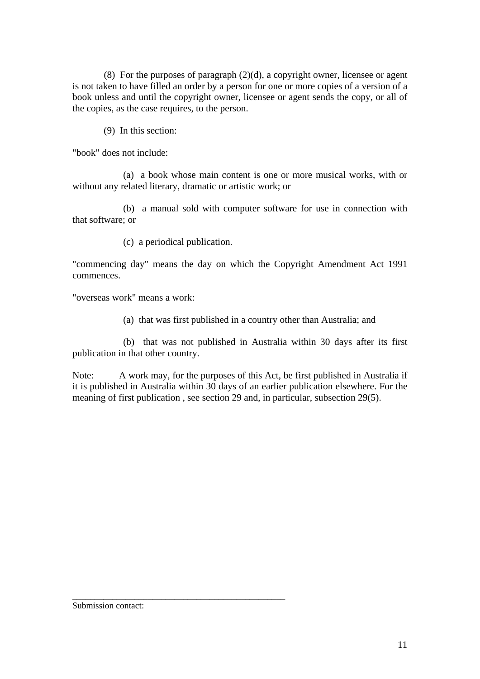(8) For the purposes of paragraph (2)(d), a copyright owner, licensee or agent is not taken to have filled an order by a person for one or more copies of a version of a book unless and until the copyright owner, licensee or agent sends the copy, or all of the copies, as the case requires, to the person.

(9) In this section:

"book" does not include:

 (a) a book whose main content is one or more musical works, with or without any related literary, dramatic or artistic work; or

 (b) a manual sold with computer software for use in connection with that software; or

(c) a periodical publication.

\_\_\_\_\_\_\_\_\_\_\_\_\_\_\_\_\_\_\_\_\_\_\_\_\_\_\_\_\_\_\_\_\_\_\_\_\_\_\_\_\_\_\_\_\_\_\_\_

"commencing day" means the day on which the Copyright Amendment Act 1991 commences.

"overseas work" means a work:

(a) that was first published in a country other than Australia; and

 (b) that was not published in Australia within 30 days after its first publication in that other country.

Note: A work may, for the purposes of this Act, be first published in Australia if it is published in Australia within 30 days of an earlier publication elsewhere. For the meaning of first publication , see section 29 and, in particular, subsection 29(5).